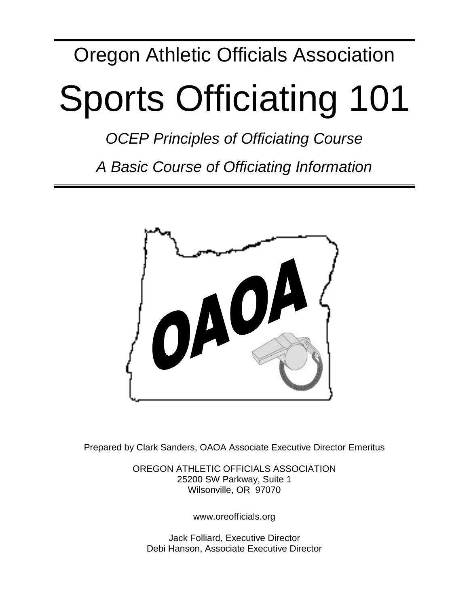# Oregon Athletic Officials Association

# Sports Officiating 101

*OCEP Principles of Officiating Course*

*A Basic Course of Officiating Information*



Prepared by Clark Sanders, OAOA Associate Executive Director Emeritus

OREGON ATHLETIC OFFICIALS ASSOCIATION 25200 SW Parkway, Suite 1 Wilsonville, OR 97070

www.oreofficials.org

Jack Folliard, Executive Director Debi Hanson, Associate Executive Director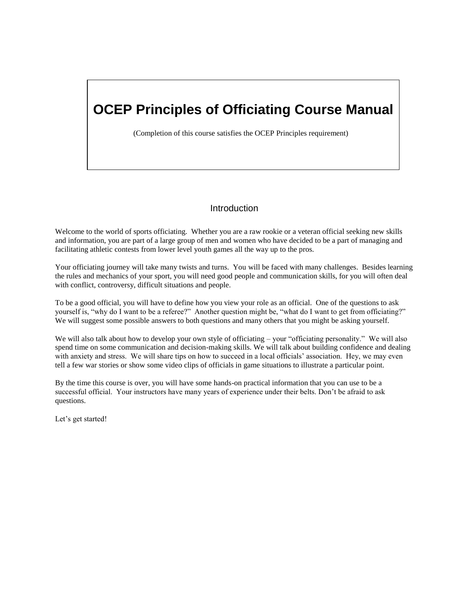# **OCEP Principles of Officiating Course Manual**

(Completion of this course satisfies the OCEP Principles requirement)

# **Introduction**

Welcome to the world of sports officiating. Whether you are a raw rookie or a veteran official seeking new skills and information, you are part of a large group of men and women who have decided to be a part of managing and facilitating athletic contests from lower level youth games all the way up to the pros.

Your officiating journey will take many twists and turns. You will be faced with many challenges. Besides learning the rules and mechanics of your sport, you will need good people and communication skills, for you will often deal with conflict, controversy, difficult situations and people.

To be a good official, you will have to define how you view your role as an official. One of the questions to ask yourself is, "why do I want to be a referee?" Another question might be, "what do I want to get from officiating?" We will suggest some possible answers to both questions and many others that you might be asking yourself.

We will also talk about how to develop your own style of officiating – your "officiating personality." We will also spend time on some communication and decision-making skills. We will talk about building confidence and dealing with anxiety and stress. We will share tips on how to succeed in a local officials' association. Hey, we may even tell a few war stories or show some video clips of officials in game situations to illustrate a particular point.

By the time this course is over, you will have some hands-on practical information that you can use to be a successful official. Your instructors have many years of experience under their belts. Don't be afraid to ask questions.

Let's get started!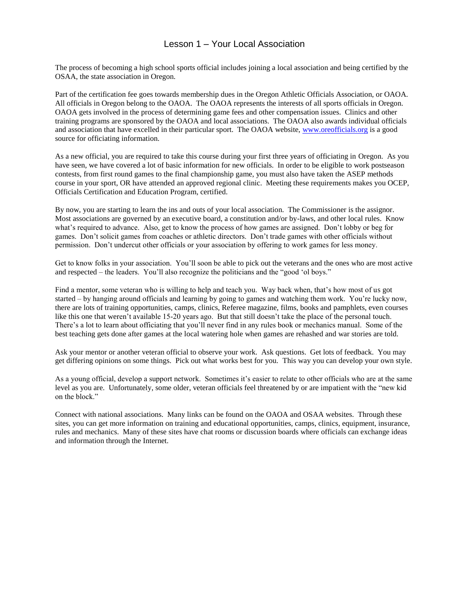# Lesson 1 – Your Local Association

The process of becoming a high school sports official includes joining a local association and being certified by the OSAA, the state association in Oregon.

Part of the certification fee goes towards membership dues in the Oregon Athletic Officials Association, or OAOA. All officials in Oregon belong to the OAOA. The OAOA represents the interests of all sports officials in Oregon. OAOA gets involved in the process of determining game fees and other compensation issues. Clinics and other training programs are sponsored by the OAOA and local associations. The OAOA also awards individual officials and association that have excelled in their particular sport. The OAOA website, [www.oreofficials.org](http://www.oreofficials.org/) is a good source for officiating information.

As a new official, you are required to take this course during your first three years of officiating in Oregon. As you have seen, we have covered a lot of basic information for new officials. In order to be eligible to work postseason contests, from first round games to the final championship game, you must also have taken the ASEP methods course in your sport, OR have attended an approved regional clinic. Meeting these requirements makes you OCEP, Officials Certification and Education Program, certified.

By now, you are starting to learn the ins and outs of your local association. The Commissioner is the assignor. Most associations are governed by an executive board, a constitution and/or by-laws, and other local rules. Know what's required to advance. Also, get to know the process of how games are assigned. Don't lobby or beg for games. Don't solicit games from coaches or athletic directors. Don't trade games with other officials without permission. Don't undercut other officials or your association by offering to work games for less money.

Get to know folks in your association. You'll soon be able to pick out the veterans and the ones who are most active and respected – the leaders. You'll also recognize the politicians and the "good 'ol boys."

Find a mentor, some veteran who is willing to help and teach you. Way back when, that's how most of us got started – by hanging around officials and learning by going to games and watching them work. You're lucky now, there are lots of training opportunities, camps, clinics, Referee magazine, films, books and pamphlets, even courses like this one that weren't available 15-20 years ago. But that still doesn't take the place of the personal touch. There's a lot to learn about officiating that you'll never find in any rules book or mechanics manual. Some of the best teaching gets done after games at the local watering hole when games are rehashed and war stories are told.

Ask your mentor or another veteran official to observe your work. Ask questions. Get lots of feedback. You may get differing opinions on some things. Pick out what works best for you. This way you can develop your own style.

As a young official, develop a support network. Sometimes it's easier to relate to other officials who are at the same level as you are. Unfortunately, some older, veteran officials feel threatened by or are impatient with the "new kid on the block."

Connect with national associations. Many links can be found on the OAOA and OSAA websites. Through these sites, you can get more information on training and educational opportunities, camps, clinics, equipment, insurance, rules and mechanics. Many of these sites have chat rooms or discussion boards where officials can exchange ideas and information through the Internet.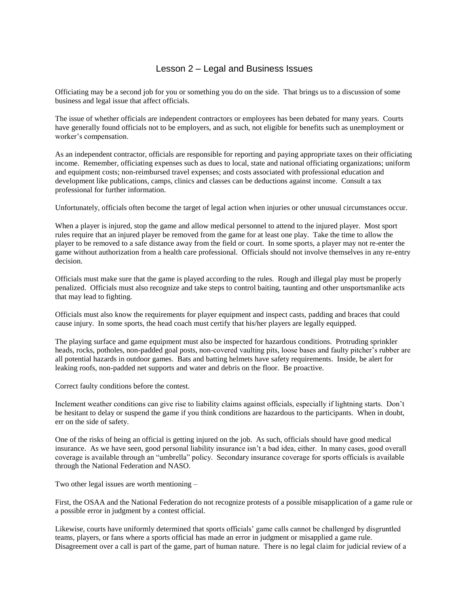# Lesson 2 – Legal and Business Issues

Officiating may be a second job for you or something you do on the side. That brings us to a discussion of some business and legal issue that affect officials.

The issue of whether officials are independent contractors or employees has been debated for many years. Courts have generally found officials not to be employers, and as such, not eligible for benefits such as unemployment or worker's compensation.

As an independent contractor, officials are responsible for reporting and paying appropriate taxes on their officiating income. Remember, officiating expenses such as dues to local, state and national officiating organizations; uniform and equipment costs; non-reimbursed travel expenses; and costs associated with professional education and development like publications, camps, clinics and classes can be deductions against income. Consult a tax professional for further information.

Unfortunately, officials often become the target of legal action when injuries or other unusual circumstances occur.

When a player is injured, stop the game and allow medical personnel to attend to the injured player. Most sport rules require that an injured player be removed from the game for at least one play. Take the time to allow the player to be removed to a safe distance away from the field or court. In some sports, a player may not re-enter the game without authorization from a health care professional. Officials should not involve themselves in any re-entry decision.

Officials must make sure that the game is played according to the rules. Rough and illegal play must be properly penalized. Officials must also recognize and take steps to control baiting, taunting and other unsportsmanlike acts that may lead to fighting.

Officials must also know the requirements for player equipment and inspect casts, padding and braces that could cause injury. In some sports, the head coach must certify that his/her players are legally equipped.

The playing surface and game equipment must also be inspected for hazardous conditions. Protruding sprinkler heads, rocks, potholes, non-padded goal posts, non-covered vaulting pits, loose bases and faulty pitcher's rubber are all potential hazards in outdoor games. Bats and batting helmets have safety requirements. Inside, be alert for leaking roofs, non-padded net supports and water and debris on the floor. Be proactive.

Correct faulty conditions before the contest.

Inclement weather conditions can give rise to liability claims against officials, especially if lightning starts. Don't be hesitant to delay or suspend the game if you think conditions are hazardous to the participants. When in doubt, err on the side of safety.

One of the risks of being an official is getting injured on the job. As such, officials should have good medical insurance. As we have seen, good personal liability insurance isn't a bad idea, either. In many cases, good overall coverage is available through an "umbrella" policy. Secondary insurance coverage for sports officials is available through the National Federation and NASO.

Two other legal issues are worth mentioning –

First, the OSAA and the National Federation do not recognize protests of a possible misapplication of a game rule or a possible error in judgment by a contest official.

Likewise, courts have uniformly determined that sports officials' game calls cannot be challenged by disgruntled teams, players, or fans where a sports official has made an error in judgment or misapplied a game rule. Disagreement over a call is part of the game, part of human nature. There is no legal claim for judicial review of a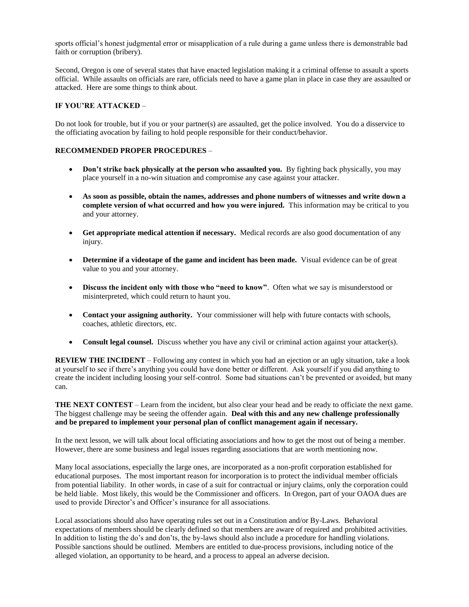sports official's honest judgmental error or misapplication of a rule during a game unless there is demonstrable bad faith or corruption (bribery).

Second, Oregon is one of several states that have enacted legislation making it a criminal offense to assault a sports official. While assaults on officials are rare, officials need to have a game plan in place in case they are assaulted or attacked. Here are some things to think about.

#### **IF YOU'RE ATTACKED** –

Do not look for trouble, but if you or your partner(s) are assaulted, get the police involved. You do a disservice to the officiating avocation by failing to hold people responsible for their conduct/behavior.

#### **RECOMMENDED PROPER PROCEDURES** –

- **Don't strike back physically at the person who assaulted you.** By fighting back physically, you may place yourself in a no-win situation and compromise any case against your attacker.
- **As soon as possible, obtain the names, addresses and phone numbers of witnesses and write down a complete version of what occurred and how you were injured.** This information may be critical to you and your attorney.
- **Get appropriate medical attention if necessary.** Medical records are also good documentation of any injury.
- **Determine if a videotape of the game and incident has been made.** Visual evidence can be of great value to you and your attorney.
- **Discuss the incident only with those who "need to know"**. Often what we say is misunderstood or misinterpreted, which could return to haunt you.
- **Contact your assigning authority.** Your commissioner will help with future contacts with schools, coaches, athletic directors, etc.
- **Consult legal counsel.** Discuss whether you have any civil or criminal action against your attacker(s).

**REVIEW THE INCIDENT** – Following any contest in which you had an ejection or an ugly situation, take a look at yourself to see if there's anything you could have done better or different. Ask yourself if you did anything to create the incident including loosing your self-control. Some bad situations can't be prevented or avoided, but many can.

**THE NEXT CONTEST** – Learn from the incident, but also clear your head and be ready to officiate the next game. The biggest challenge may be seeing the offender again. **Deal with this and any new challenge professionally and be prepared to implement your personal plan of conflict management again if necessary.**

In the next lesson, we will talk about local officiating associations and how to get the most out of being a member. However, there are some business and legal issues regarding associations that are worth mentioning now.

Many local associations, especially the large ones, are incorporated as a non-profit corporation established for educational purposes. The most important reason for incorporation is to protect the individual member officials from potential liability. In other words, in case of a suit for contractual or injury claims, only the corporation could be held liable. Most likely, this would be the Commissioner and officers. In Oregon, part of your OAOA dues are used to provide Director's and Officer's insurance for all associations.

Local associations should also have operating rules set out in a Constitution and/or By-Laws. Behavioral expectations of members should be clearly defined so that members are aware of required and prohibited activities. In addition to listing the do's and don'ts, the by-laws should also include a procedure for handling violations. Possible sanctions should be outlined. Members are entitled to due-process provisions, including notice of the alleged violation, an opportunity to be heard, and a process to appeal an adverse decision.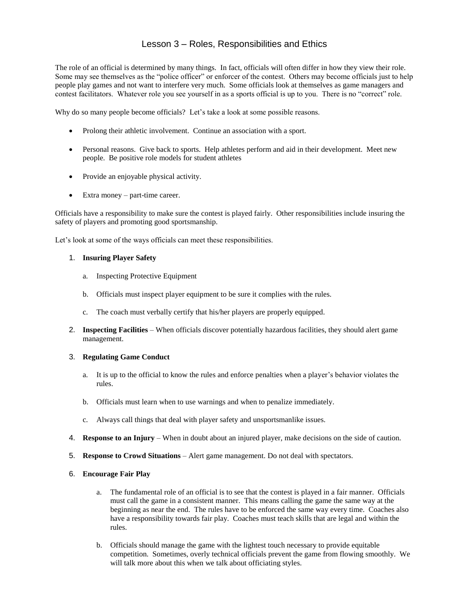# Lesson 3 – Roles, Responsibilities and Ethics

The role of an official is determined by many things. In fact, officials will often differ in how they view their role. Some may see themselves as the "police officer" or enforcer of the contest. Others may become officials just to help people play games and not want to interfere very much. Some officials look at themselves as game managers and contest facilitators. Whatever role you see yourself in as a sports official is up to you. There is no "correct" role.

Why do so many people become officials? Let's take a look at some possible reasons.

- Prolong their athletic involvement. Continue an association with a sport.
- Personal reasons. Give back to sports. Help athletes perform and aid in their development. Meet new people. Be positive role models for student athletes
- Provide an enjoyable physical activity.
- Extra money part-time career.

Officials have a responsibility to make sure the contest is played fairly. Other responsibilities include insuring the safety of players and promoting good sportsmanship.

Let's look at some of the ways officials can meet these responsibilities.

#### 1. **Insuring Player Safety**

- a. Inspecting Protective Equipment
- b. Officials must inspect player equipment to be sure it complies with the rules.
- c. The coach must verbally certify that his/her players are properly equipped.
- 2. **Inspecting Facilities** When officials discover potentially hazardous facilities, they should alert game management.

#### 3. **Regulating Game Conduct**

- a. It is up to the official to know the rules and enforce penalties when a player's behavior violates the rules.
- b. Officials must learn when to use warnings and when to penalize immediately.
- c. Always call things that deal with player safety and unsportsmanlike issues.
- 4. **Response to an Injury** When in doubt about an injured player, make decisions on the side of caution.
- 5. **Response to Crowd Situations** Alert game management. Do not deal with spectators.
- 6. **Encourage Fair Play**
	- a. The fundamental role of an official is to see that the contest is played in a fair manner. Officials must call the game in a consistent manner. This means calling the game the same way at the beginning as near the end. The rules have to be enforced the same way every time. Coaches also have a responsibility towards fair play. Coaches must teach skills that are legal and within the rules.
	- b. Officials should manage the game with the lightest touch necessary to provide equitable competition. Sometimes, overly technical officials prevent the game from flowing smoothly. We will talk more about this when we talk about officiating styles.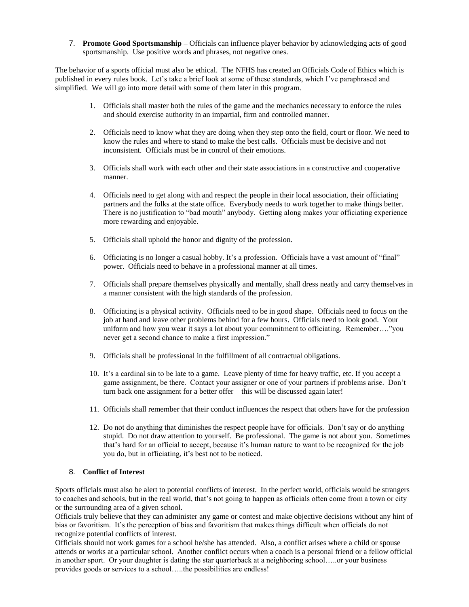7. **Promote Good Sportsmanship –** Officials can influence player behavior by acknowledging acts of good sportsmanship. Use positive words and phrases, not negative ones.

The behavior of a sports official must also be ethical. The NFHS has created an Officials Code of Ethics which is published in every rules book. Let's take a brief look at some of these standards, which I've paraphrased and simplified. We will go into more detail with some of them later in this program.

- 1. Officials shall master both the rules of the game and the mechanics necessary to enforce the rules and should exercise authority in an impartial, firm and controlled manner.
- 2. Officials need to know what they are doing when they step onto the field, court or floor. We need to know the rules and where to stand to make the best calls. Officials must be decisive and not inconsistent. Officials must be in control of their emotions.
- 3. Officials shall work with each other and their state associations in a constructive and cooperative manner.
- 4. Officials need to get along with and respect the people in their local association, their officiating partners and the folks at the state office. Everybody needs to work together to make things better. There is no justification to "bad mouth" anybody. Getting along makes your officiating experience more rewarding and enjoyable.
- 5. Officials shall uphold the honor and dignity of the profession.
- 6. Officiating is no longer a casual hobby. It's a profession. Officials have a vast amount of "final" power. Officials need to behave in a professional manner at all times.
- 7. Officials shall prepare themselves physically and mentally, shall dress neatly and carry themselves in a manner consistent with the high standards of the profession.
- 8. Officiating is a physical activity. Officials need to be in good shape. Officials need to focus on the job at hand and leave other problems behind for a few hours. Officials need to look good. Your uniform and how you wear it says a lot about your commitment to officiating. Remember…."you never get a second chance to make a first impression."
- 9. Officials shall be professional in the fulfillment of all contractual obligations.
- 10. It's a cardinal sin to be late to a game. Leave plenty of time for heavy traffic, etc. If you accept a game assignment, be there. Contact your assigner or one of your partners if problems arise. Don't turn back one assignment for a better offer – this will be discussed again later!
- 11. Officials shall remember that their conduct influences the respect that others have for the profession
- 12. Do not do anything that diminishes the respect people have for officials. Don't say or do anything stupid. Do not draw attention to yourself. Be professional. The game is not about you. Sometimes that's hard for an official to accept, because it's human nature to want to be recognized for the job you do, but in officiating, it's best not to be noticed.

#### 8. **Conflict of Interest**

Sports officials must also be alert to potential conflicts of interest. In the perfect world, officials would be strangers to coaches and schools, but in the real world, that's not going to happen as officials often come from a town or city or the surrounding area of a given school.

Officials truly believe that they can administer any game or contest and make objective decisions without any hint of bias or favoritism. It's the perception of bias and favoritism that makes things difficult when officials do not recognize potential conflicts of interest.

Officials should not work games for a school he/she has attended. Also, a conflict arises where a child or spouse attends or works at a particular school. Another conflict occurs when a coach is a personal friend or a fellow official in another sport. Or your daughter is dating the star quarterback at a neighboring school…..or your business provides goods or services to a school…..the possibilities are endless!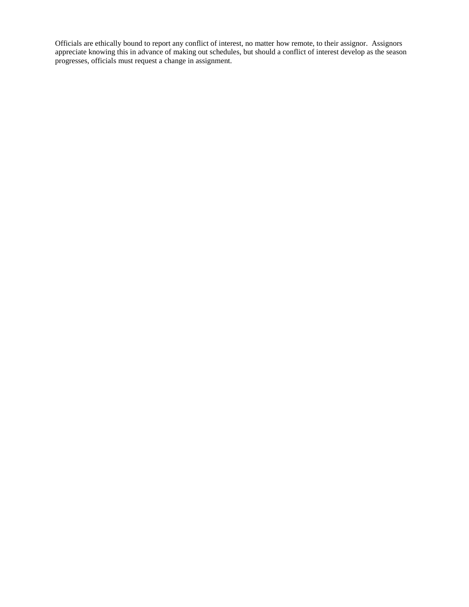Officials are ethically bound to report any conflict of interest, no matter how remote, to their assignor. Assignors appreciate knowing this in advance of making out schedules, but should a conflict of interest develop as the season progresses, officials must request a change in assignment.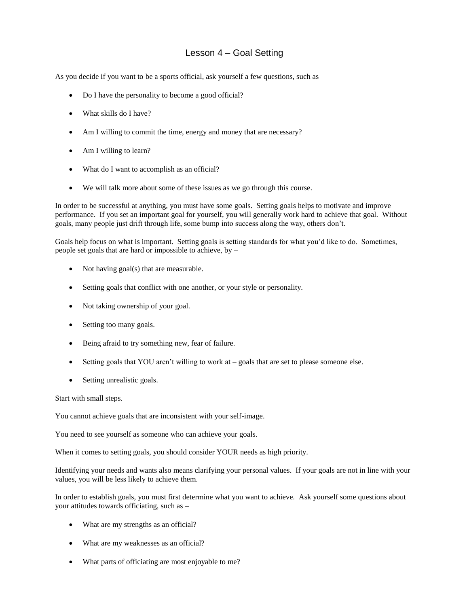# Lesson 4 – Goal Setting

As you decide if you want to be a sports official, ask yourself a few questions, such as –

- Do I have the personality to become a good official?
- What skills do I have?
- Am I willing to commit the time, energy and money that are necessary?
- Am I willing to learn?
- What do I want to accomplish as an official?
- We will talk more about some of these issues as we go through this course.

In order to be successful at anything, you must have some goals. Setting goals helps to motivate and improve performance. If you set an important goal for yourself, you will generally work hard to achieve that goal. Without goals, many people just drift through life, some bump into success along the way, others don't.

Goals help focus on what is important. Setting goals is setting standards for what you'd like to do. Sometimes, people set goals that are hard or impossible to achieve, by –

- Not having  $\text{goal}(s)$  that are measurable.
- Setting goals that conflict with one another, or your style or personality.
- Not taking ownership of your goal.
- Setting too many goals.
- Being afraid to try something new, fear of failure.
- Setting goals that YOU aren't willing to work at goals that are set to please someone else.
- Setting unrealistic goals.

Start with small steps.

You cannot achieve goals that are inconsistent with your self-image.

You need to see yourself as someone who can achieve your goals.

When it comes to setting goals, you should consider YOUR needs as high priority.

Identifying your needs and wants also means clarifying your personal values. If your goals are not in line with your values, you will be less likely to achieve them.

In order to establish goals, you must first determine what you want to achieve. Ask yourself some questions about your attitudes towards officiating, such as –

- What are my strengths as an official?
- What are my weaknesses as an official?
- What parts of officiating are most enjoyable to me?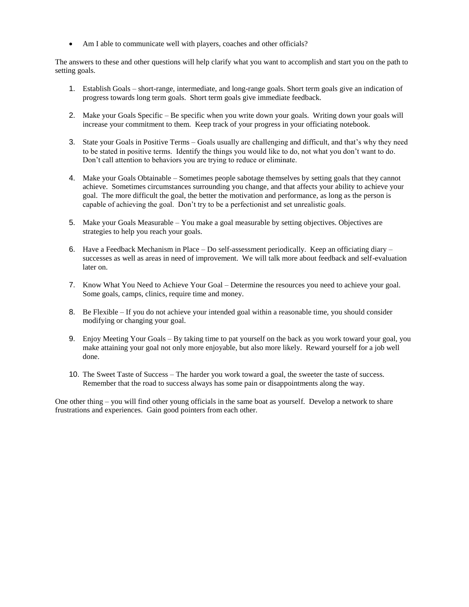• Am I able to communicate well with players, coaches and other officials?

The answers to these and other questions will help clarify what you want to accomplish and start you on the path to setting goals.

- 1. Establish Goals short-range, intermediate, and long-range goals. Short term goals give an indication of progress towards long term goals. Short term goals give immediate feedback.
- 2. Make your Goals Specific Be specific when you write down your goals. Writing down your goals will increase your commitment to them. Keep track of your progress in your officiating notebook.
- 3. State your Goals in Positive Terms Goals usually are challenging and difficult, and that's why they need to be stated in positive terms. Identify the things you would like to do, not what you don't want to do. Don't call attention to behaviors you are trying to reduce or eliminate.
- 4. Make your Goals Obtainable Sometimes people sabotage themselves by setting goals that they cannot achieve. Sometimes circumstances surrounding you change, and that affects your ability to achieve your goal. The more difficult the goal, the better the motivation and performance, as long as the person is capable of achieving the goal. Don't try to be a perfectionist and set unrealistic goals.
- 5. Make your Goals Measurable You make a goal measurable by setting objectives. Objectives are strategies to help you reach your goals.
- 6. Have a Feedback Mechanism in Place Do self-assessment periodically. Keep an officiating diary successes as well as areas in need of improvement. We will talk more about feedback and self-evaluation later on.
- 7. Know What You Need to Achieve Your Goal Determine the resources you need to achieve your goal. Some goals, camps, clinics, require time and money.
- 8. Be Flexible If you do not achieve your intended goal within a reasonable time, you should consider modifying or changing your goal.
- 9. Enjoy Meeting Your Goals By taking time to pat yourself on the back as you work toward your goal, you make attaining your goal not only more enjoyable, but also more likely. Reward yourself for a job well done.
- 10. The Sweet Taste of Success The harder you work toward a goal, the sweeter the taste of success. Remember that the road to success always has some pain or disappointments along the way.

One other thing – you will find other young officials in the same boat as yourself. Develop a network to share frustrations and experiences. Gain good pointers from each other.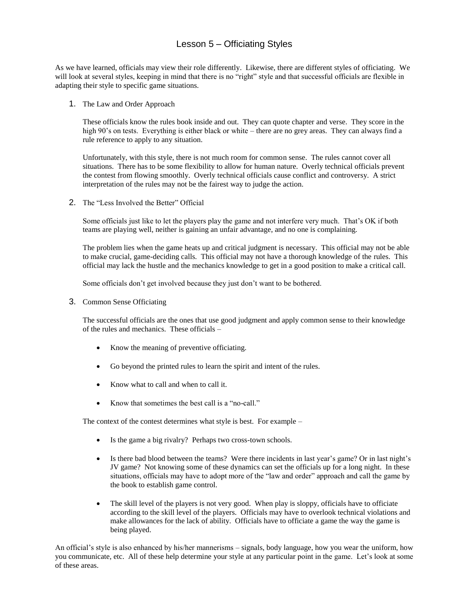# Lesson 5 – Officiating Styles

As we have learned, officials may view their role differently. Likewise, there are different styles of officiating. We will look at several styles, keeping in mind that there is no "right" style and that successful officials are flexible in adapting their style to specific game situations.

1. The Law and Order Approach

These officials know the rules book inside and out. They can quote chapter and verse. They score in the high 90's on tests. Everything is either black or white – there are no grey areas. They can always find a rule reference to apply to any situation.

Unfortunately, with this style, there is not much room for common sense. The rules cannot cover all situations. There has to be some flexibility to allow for human nature. Overly technical officials prevent the contest from flowing smoothly. Overly technical officials cause conflict and controversy. A strict interpretation of the rules may not be the fairest way to judge the action.

2. The "Less Involved the Better" Official

Some officials just like to let the players play the game and not interfere very much. That's OK if both teams are playing well, neither is gaining an unfair advantage, and no one is complaining.

The problem lies when the game heats up and critical judgment is necessary. This official may not be able to make crucial, game-deciding calls. This official may not have a thorough knowledge of the rules. This official may lack the hustle and the mechanics knowledge to get in a good position to make a critical call.

Some officials don't get involved because they just don't want to be bothered.

3. Common Sense Officiating

The successful officials are the ones that use good judgment and apply common sense to their knowledge of the rules and mechanics. These officials –

- Know the meaning of preventive officiating.
- Go beyond the printed rules to learn the spirit and intent of the rules.
- Know what to call and when to call it.
- Know that sometimes the best call is a "no-call."

The context of the contest determines what style is best. For example –

- Is the game a big rivalry? Perhaps two cross-town schools.
- Is there bad blood between the teams? Were there incidents in last year's game? Or in last night's JV game? Not knowing some of these dynamics can set the officials up for a long night. In these situations, officials may have to adopt more of the "law and order" approach and call the game by the book to establish game control.
- The skill level of the players is not very good. When play is sloppy, officials have to officiate according to the skill level of the players. Officials may have to overlook technical violations and make allowances for the lack of ability. Officials have to officiate a game the way the game is being played.

An official's style is also enhanced by his/her mannerisms – signals, body language, how you wear the uniform, how you communicate, etc. All of these help determine your style at any particular point in the game. Let's look at some of these areas.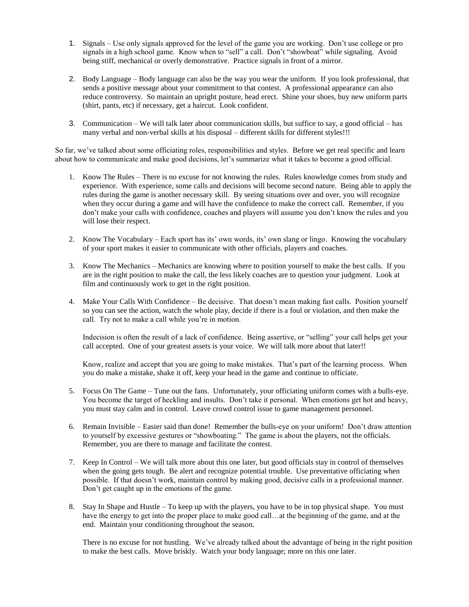- 1. Signals Use only signals approved for the level of the game you are working. Don't use college or pro signals in a high school game. Know when to "sell" a call. Don't "showboat" while signaling. Avoid being stiff, mechanical or overly demonstrative. Practice signals in front of a mirror.
- 2. Body Language Body language can also be the way you wear the uniform. If you look professional, that sends a positive message about your commitment to that contest. A professional appearance can also reduce controversy. So maintain an upright posture, head erect. Shine your shoes, buy new uniform parts (shirt, pants, etc) if necessary, get a haircut. Look confident.
- 3. Communication We will talk later about communication skills, but suffice to say, a good official has many verbal and non-verbal skills at his disposal – different skills for different styles!!!

So far, we've talked about some officiating roles, responsibilities and styles. Before we get real specific and learn about how to communicate and make good decisions, let's summarize what it takes to become a good official.

- 1. Know The Rules There is no excuse for not knowing the rules. Rules knowledge comes from study and experience. With experience, some calls and decisions will become second nature. Being able to apply the rules during the game is another necessary skill. By seeing situations over and over, you will recognize when they occur during a game and will have the confidence to make the correct call. Remember, if you don't make your calls with confidence, coaches and players will assume you don't know the rules and you will lose their respect.
- 2. Know The Vocabulary Each sport has its' own words, its' own slang or lingo. Knowing the vocabulary of your sport makes it easier to communicate with other officials, players and coaches.
- 3. Know The Mechanics Mechanics are knowing where to position yourself to make the best calls. If you are in the right position to make the call, the less likely coaches are to question your judgment. Look at film and continuously work to get in the right position.
- 4. Make Your Calls With Confidence Be decisive. That doesn't mean making fast calls. Position yourself so you can see the action, watch the whole play, decide if there is a foul or violation, and then make the call. Try not to make a call while you're in motion.

Indecision is often the result of a lack of confidence. Being assertive, or "selling" your call helps get your call accepted. One of your greatest assets is your voice. We will talk more about that later!!

Know, realize and accept that you are going to make mistakes. That's part of the learning process. When you do make a mistake, shake it off, keep your head in the game and continue to officiate.

- 5. Focus On The Game Tune out the fans. Unfortunately, your officiating uniform comes with a bulls-eye. You become the target of heckling and insults. Don't take it personal. When emotions get hot and heavy, you must stay calm and in control. Leave crowd control issue to game management personnel.
- 6. Remain Invisible Easier said than done! Remember the bulls-eye on your uniform! Don't draw attention to yourself by excessive gestures or "showboating." The game is about the players, not the officials. Remember, you are there to manage and facilitate the contest.
- 7. Keep In Control We will talk more about this one later, but good officials stay in control of themselves when the going gets tough. Be alert and recognize potential trouble. Use preventative officiating when possible. If that doesn't work, maintain control by making good, decisive calls in a professional manner. Don't get caught up in the emotions of the game.
- 8. Stay In Shape and Hustle To keep up with the players, you have to be in top physical shape. You must have the energy to get into the proper place to make good call…at the beginning of the game, and at the end. Maintain your conditioning throughout the season.

There is no excuse for not hustling. We've already talked about the advantage of being in the right position to make the best calls. Move briskly. Watch your body language; more on this one later.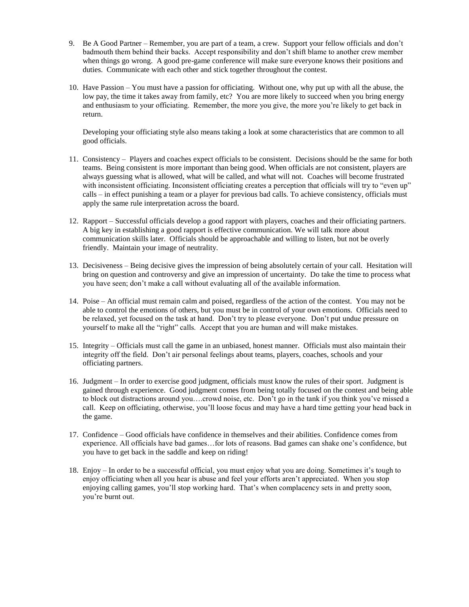- 9. Be A Good Partner Remember, you are part of a team, a crew. Support your fellow officials and don't badmouth them behind their backs. Accept responsibility and don't shift blame to another crew member when things go wrong. A good pre-game conference will make sure everyone knows their positions and duties. Communicate with each other and stick together throughout the contest.
- 10. Have Passion You must have a passion for officiating. Without one, why put up with all the abuse, the low pay, the time it takes away from family, etc? You are more likely to succeed when you bring energy and enthusiasm to your officiating. Remember, the more you give, the more you're likely to get back in return.

Developing your officiating style also means taking a look at some characteristics that are common to all good officials.

- 11. Consistency Players and coaches expect officials to be consistent. Decisions should be the same for both teams. Being consistent is more important than being good. When officials are not consistent, players are always guessing what is allowed, what will be called, and what will not. Coaches will become frustrated with inconsistent officiating. Inconsistent officiating creates a perception that officials will try to "even up" calls – in effect punishing a team or a player for previous bad calls. To achieve consistency, officials must apply the same rule interpretation across the board.
- 12. Rapport Successful officials develop a good rapport with players, coaches and their officiating partners. A big key in establishing a good rapport is effective communication. We will talk more about communication skills later. Officials should be approachable and willing to listen, but not be overly friendly. Maintain your image of neutrality.
- 13. Decisiveness Being decisive gives the impression of being absolutely certain of your call. Hesitation will bring on question and controversy and give an impression of uncertainty. Do take the time to process what you have seen; don't make a call without evaluating all of the available information.
- 14. Poise An official must remain calm and poised, regardless of the action of the contest. You may not be able to control the emotions of others, but you must be in control of your own emotions. Officials need to be relaxed, yet focused on the task at hand. Don't try to please everyone. Don't put undue pressure on yourself to make all the "right" calls. Accept that you are human and will make mistakes.
- 15. Integrity Officials must call the game in an unbiased, honest manner. Officials must also maintain their integrity off the field. Don't air personal feelings about teams, players, coaches, schools and your officiating partners.
- 16. Judgment In order to exercise good judgment, officials must know the rules of their sport. Judgment is gained through experience. Good judgment comes from being totally focused on the contest and being able to block out distractions around you….crowd noise, etc. Don't go in the tank if you think you've missed a call. Keep on officiating, otherwise, you'll loose focus and may have a hard time getting your head back in the game.
- 17. Confidence Good officials have confidence in themselves and their abilities. Confidence comes from experience. All officials have bad games…for lots of reasons. Bad games can shake one's confidence, but you have to get back in the saddle and keep on riding!
- 18. Enjoy In order to be a successful official, you must enjoy what you are doing. Sometimes it's tough to enjoy officiating when all you hear is abuse and feel your efforts aren't appreciated. When you stop enjoying calling games, you'll stop working hard. That's when complacency sets in and pretty soon, you're burnt out.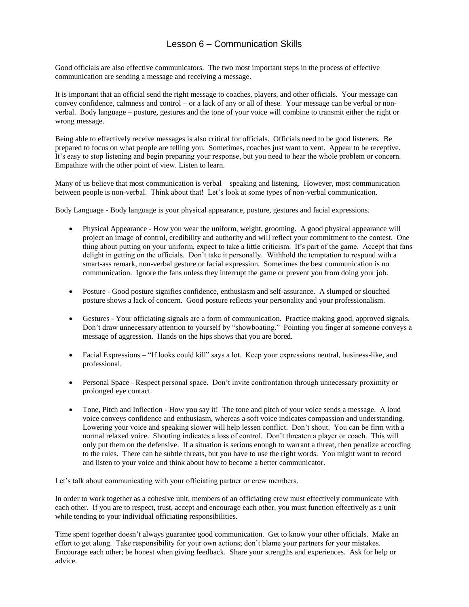# Lesson 6 – Communication Skills

Good officials are also effective communicators. The two most important steps in the process of effective communication are sending a message and receiving a message.

It is important that an official send the right message to coaches, players, and other officials. Your message can convey confidence, calmness and control – or a lack of any or all of these. Your message can be verbal or nonverbal. Body language – posture, gestures and the tone of your voice will combine to transmit either the right or wrong message.

Being able to effectively receive messages is also critical for officials. Officials need to be good listeners. Be prepared to focus on what people are telling you. Sometimes, coaches just want to vent. Appear to be receptive. It's easy to stop listening and begin preparing your response, but you need to hear the whole problem or concern. Empathize with the other point of view. Listen to learn.

Many of us believe that most communication is verbal – speaking and listening. However, most communication between people is non-verbal. Think about that! Let's look at some types of non-verbal communication.

Body Language - Body language is your physical appearance, posture, gestures and facial expressions.

- Physical Appearance How you wear the uniform, weight, grooming. A good physical appearance will project an image of control, credibility and authority and will reflect your commitment to the contest. One thing about putting on your uniform, expect to take a little criticism. It's part of the game. Accept that fans delight in getting on the officials. Don't take it personally. Withhold the temptation to respond with a smart-ass remark, non-verbal gesture or facial expression. Sometimes the best communication is no communication. Ignore the fans unless they interrupt the game or prevent you from doing your job.
- Posture Good posture signifies confidence, enthusiasm and self-assurance. A slumped or slouched posture shows a lack of concern. Good posture reflects your personality and your professionalism.
- Gestures Your officiating signals are a form of communication. Practice making good, approved signals. Don't draw unnecessary attention to yourself by "showboating." Pointing you finger at someone conveys a message of aggression. Hands on the hips shows that you are bored.
- Facial Expressions "If looks could kill" says a lot. Keep your expressions neutral, business-like, and professional.
- Personal Space Respect personal space. Don't invite confrontation through unnecessary proximity or prolonged eye contact.
- Tone, Pitch and Inflection How you say it! The tone and pitch of your voice sends a message. A loud voice conveys confidence and enthusiasm, whereas a soft voice indicates compassion and understanding. Lowering your voice and speaking slower will help lessen conflict. Don't shout. You can be firm with a normal relaxed voice. Shouting indicates a loss of control. Don't threaten a player or coach. This will only put them on the defensive. If a situation is serious enough to warrant a threat, then penalize according to the rules. There can be subtle threats, but you have to use the right words. You might want to record and listen to your voice and think about how to become a better communicator.

Let's talk about communicating with your officiating partner or crew members.

In order to work together as a cohesive unit, members of an officiating crew must effectively communicate with each other. If you are to respect, trust, accept and encourage each other, you must function effectively as a unit while tending to your individual officiating responsibilities.

Time spent together doesn't always guarantee good communication. Get to know your other officials. Make an effort to get along. Take responsibility for your own actions; don't blame your partners for your mistakes. Encourage each other; be honest when giving feedback. Share your strengths and experiences. Ask for help or advice.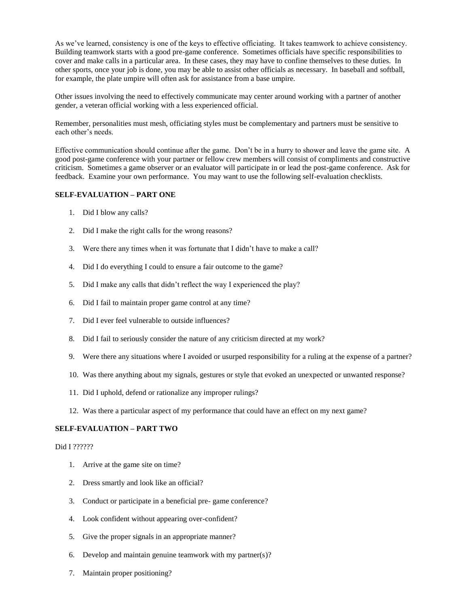As we've learned, consistency is one of the keys to effective officiating. It takes teamwork to achieve consistency. Building teamwork starts with a good pre-game conference. Sometimes officials have specific responsibilities to cover and make calls in a particular area. In these cases, they may have to confine themselves to these duties. In other sports, once your job is done, you may be able to assist other officials as necessary. In baseball and softball, for example, the plate umpire will often ask for assistance from a base umpire.

Other issues involving the need to effectively communicate may center around working with a partner of another gender, a veteran official working with a less experienced official.

Remember, personalities must mesh, officiating styles must be complementary and partners must be sensitive to each other's needs.

Effective communication should continue after the game. Don't be in a hurry to shower and leave the game site. A good post-game conference with your partner or fellow crew members will consist of compliments and constructive criticism. Sometimes a game observer or an evaluator will participate in or lead the post-game conference. Ask for feedback. Examine your own performance. You may want to use the following self-evaluation checklists.

#### **SELF-EVALUATION – PART ONE**

- 1. Did I blow any calls?
- 2. Did I make the right calls for the wrong reasons?
- 3. Were there any times when it was fortunate that I didn't have to make a call?
- 4. Did I do everything I could to ensure a fair outcome to the game?
- 5. Did I make any calls that didn't reflect the way I experienced the play?
- 6. Did I fail to maintain proper game control at any time?
- 7. Did I ever feel vulnerable to outside influences?
- 8. Did I fail to seriously consider the nature of any criticism directed at my work?
- 9. Were there any situations where I avoided or usurped responsibility for a ruling at the expense of a partner?
- 10. Was there anything about my signals, gestures or style that evoked an unexpected or unwanted response?
- 11. Did I uphold, defend or rationalize any improper rulings?
- 12. Was there a particular aspect of my performance that could have an effect on my next game?

#### **SELF-EVALUATION – PART TWO**

#### Did I ??????

- 1. Arrive at the game site on time?
- 2. Dress smartly and look like an official?
- 3. Conduct or participate in a beneficial pre- game conference?
- 4. Look confident without appearing over-confident?
- 5. Give the proper signals in an appropriate manner?
- 6. Develop and maintain genuine teamwork with my partner(s)?
- 7. Maintain proper positioning?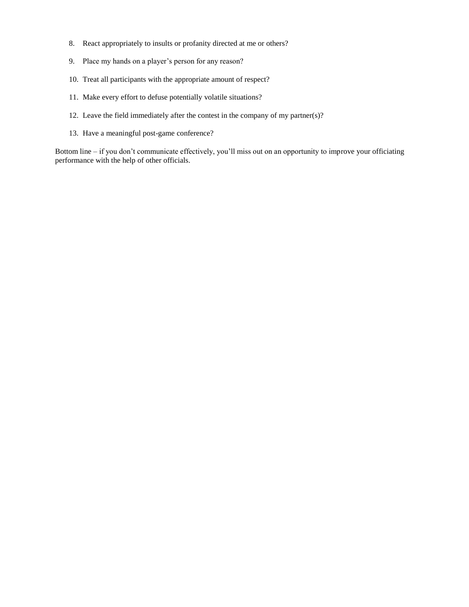- 8. React appropriately to insults or profanity directed at me or others?
- 9. Place my hands on a player's person for any reason?
- 10. Treat all participants with the appropriate amount of respect?
- 11. Make every effort to defuse potentially volatile situations?
- 12. Leave the field immediately after the contest in the company of my partner(s)?
- 13. Have a meaningful post-game conference?

Bottom line – if you don't communicate effectively, you'll miss out on an opportunity to improve your officiating performance with the help of other officials.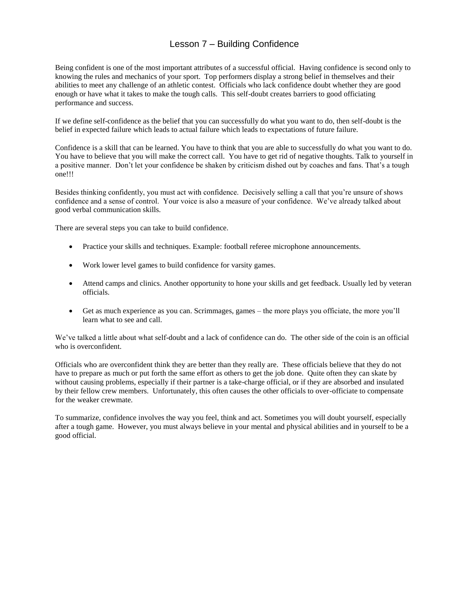# Lesson 7 – Building Confidence

Being confident is one of the most important attributes of a successful official. Having confidence is second only to knowing the rules and mechanics of your sport. Top performers display a strong belief in themselves and their abilities to meet any challenge of an athletic contest. Officials who lack confidence doubt whether they are good enough or have what it takes to make the tough calls. This self-doubt creates barriers to good officiating performance and success.

If we define self-confidence as the belief that you can successfully do what you want to do, then self-doubt is the belief in expected failure which leads to actual failure which leads to expectations of future failure.

Confidence is a skill that can be learned. You have to think that you are able to successfully do what you want to do. You have to believe that you will make the correct call. You have to get rid of negative thoughts. Talk to yourself in a positive manner. Don't let your confidence be shaken by criticism dished out by coaches and fans. That's a tough one!!!

Besides thinking confidently, you must act with confidence. Decisively selling a call that you're unsure of shows confidence and a sense of control. Your voice is also a measure of your confidence. We've already talked about good verbal communication skills.

There are several steps you can take to build confidence.

- Practice your skills and techniques. Example: football referee microphone announcements.
- Work lower level games to build confidence for varsity games.
- Attend camps and clinics. Another opportunity to hone your skills and get feedback. Usually led by veteran officials.
- Get as much experience as you can. Scrimmages, games the more plays you officiate, the more you'll learn what to see and call.

We've talked a little about what self-doubt and a lack of confidence can do. The other side of the coin is an official who is overconfident.

Officials who are overconfident think they are better than they really are. These officials believe that they do not have to prepare as much or put forth the same effort as others to get the job done. Quite often they can skate by without causing problems, especially if their partner is a take-charge official, or if they are absorbed and insulated by their fellow crew members. Unfortunately, this often causes the other officials to over-officiate to compensate for the weaker crewmate.

To summarize, confidence involves the way you feel, think and act. Sometimes you will doubt yourself, especially after a tough game. However, you must always believe in your mental and physical abilities and in yourself to be a good official.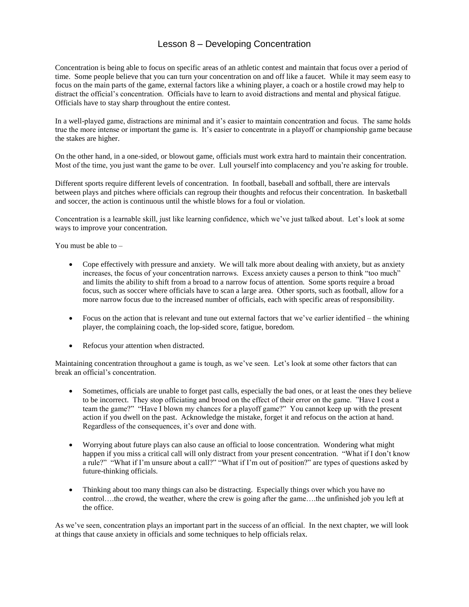# Lesson 8 – Developing Concentration

Concentration is being able to focus on specific areas of an athletic contest and maintain that focus over a period of time. Some people believe that you can turn your concentration on and off like a faucet. While it may seem easy to focus on the main parts of the game, external factors like a whining player, a coach or a hostile crowd may help to distract the official's concentration. Officials have to learn to avoid distractions and mental and physical fatigue. Officials have to stay sharp throughout the entire contest.

In a well-played game, distractions are minimal and it's easier to maintain concentration and focus. The same holds true the more intense or important the game is. It's easier to concentrate in a playoff or championship game because the stakes are higher.

On the other hand, in a one-sided, or blowout game, officials must work extra hard to maintain their concentration. Most of the time, you just want the game to be over. Lull yourself into complacency and you're asking for trouble.

Different sports require different levels of concentration. In football, baseball and softball, there are intervals between plays and pitches where officials can regroup their thoughts and refocus their concentration. In basketball and soccer, the action is continuous until the whistle blows for a foul or violation.

Concentration is a learnable skill, just like learning confidence, which we've just talked about. Let's look at some ways to improve your concentration.

You must be able to –

- Cope effectively with pressure and anxiety. We will talk more about dealing with anxiety, but as anxiety increases, the focus of your concentration narrows. Excess anxiety causes a person to think "too much" and limits the ability to shift from a broad to a narrow focus of attention. Some sports require a broad focus, such as soccer where officials have to scan a large area. Other sports, such as football, allow for a more narrow focus due to the increased number of officials, each with specific areas of responsibility.
- Focus on the action that is relevant and tune out external factors that we've earlier identified the whining player, the complaining coach, the lop-sided score, fatigue, boredom.
- Refocus your attention when distracted.

Maintaining concentration throughout a game is tough, as we've seen. Let's look at some other factors that can break an official's concentration.

- Sometimes, officials are unable to forget past calls, especially the bad ones, or at least the ones they believe to be incorrect. They stop officiating and brood on the effect of their error on the game. "Have I cost a team the game?" "Have I blown my chances for a playoff game?" You cannot keep up with the present action if you dwell on the past. Acknowledge the mistake, forget it and refocus on the action at hand. Regardless of the consequences, it's over and done with.
- Worrying about future plays can also cause an official to loose concentration. Wondering what might happen if you miss a critical call will only distract from your present concentration. "What if I don't know a rule?" "What if I'm unsure about a call?" "What if I'm out of position?" are types of questions asked by future-thinking officials.
- Thinking about too many things can also be distracting. Especially things over which you have no control….the crowd, the weather, where the crew is going after the game….the unfinished job you left at the office.

As we've seen, concentration plays an important part in the success of an official. In the next chapter, we will look at things that cause anxiety in officials and some techniques to help officials relax.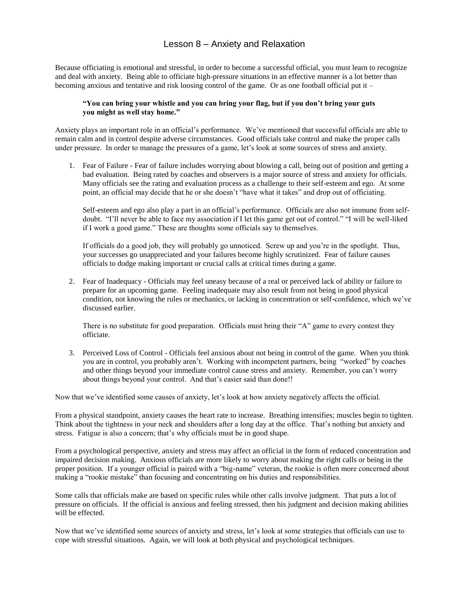## Lesson 8 – Anxiety and Relaxation

Because officiating is emotional and stressful, in order to become a successful official, you must learn to recognize and deal with anxiety. Being able to officiate high-pressure situations in an effective manner is a lot better than becoming anxious and tentative and risk loosing control of the game. Or as one football official put it –

#### **"You can bring your whistle and you can bring your flag, but if you don't bring your guts you might as well stay home."**

Anxiety plays an important role in an official's performance. We've mentioned that successful officials are able to remain calm and in control despite adverse circumstances. Good officials take control and make the proper calls under pressure. In order to manage the pressures of a game, let's look at some sources of stress and anxiety.

1. Fear of Failure - Fear of failure includes worrying about blowing a call, being out of position and getting a bad evaluation. Being rated by coaches and observers is a major source of stress and anxiety for officials. Many officials see the rating and evaluation process as a challenge to their self-esteem and ego. At some point, an official may decide that he or she doesn't "have what it takes" and drop out of officiating.

Self-esteem and ego also play a part in an official's performance. Officials are also not immune from selfdoubt. "I'll never be able to face my association if I let this game get out of control." "I will be well-liked if I work a good game." These are thoughts some officials say to themselves.

If officials do a good job, they will probably go unnoticed. Screw up and you're in the spotlight. Thus, your successes go unappreciated and your failures become highly scrutinized. Fear of failure causes officials to dodge making important or crucial calls at critical times during a game.

2. Fear of Inadequacy - Officials may feel uneasy because of a real or perceived lack of ability or failure to prepare for an upcoming game. Feeling inadequate may also result from not being in good physical condition, not knowing the rules or mechanics, or lacking in concentration or self-confidence, which we've discussed earlier.

There is no substitute for good preparation. Officials must bring their "A" game to every contest they officiate.

3. Perceived Loss of Control - Officials feel anxious about not being in control of the game. When you think you are in control, you probably aren't. Working with incompetent partners, being "worked" by coaches and other things beyond your immediate control cause stress and anxiety. Remember, you can't worry about things beyond your control. And that's easier said than done!!

Now that we've identified some causes of anxiety, let's look at how anxiety negatively affects the official.

From a physical standpoint, anxiety causes the heart rate to increase. Breathing intensifies; muscles begin to tighten. Think about the tightness in your neck and shoulders after a long day at the office. That's nothing but anxiety and stress. Fatigue is also a concern; that's why officials must be in good shape.

From a psychological perspective, anxiety and stress may affect an official in the form of reduced concentration and impaired decision making. Anxious officials are more likely to worry about making the right calls or being in the proper position. If a younger official is paired with a "big-name" veteran, the rookie is often more concerned about making a "rookie mistake" than focusing and concentrating on his duties and responsibilities.

Some calls that officials make are based on specific rules while other calls involve judgment. That puts a lot of pressure on officials. If the official is anxious and feeling stressed, then his judgment and decision making abilities will be effected.

Now that we've identified some sources of anxiety and stress, let's look at some strategies that officials can use to cope with stressful situations. Again, we will look at both physical and psychological techniques.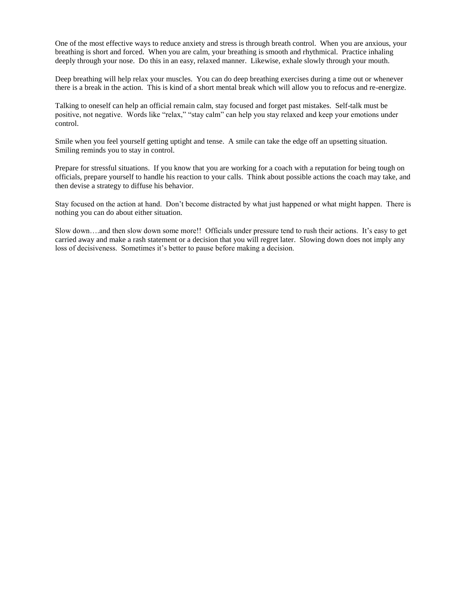One of the most effective ways to reduce anxiety and stress is through breath control. When you are anxious, your breathing is short and forced. When you are calm, your breathing is smooth and rhythmical. Practice inhaling deeply through your nose. Do this in an easy, relaxed manner. Likewise, exhale slowly through your mouth.

Deep breathing will help relax your muscles. You can do deep breathing exercises during a time out or whenever there is a break in the action. This is kind of a short mental break which will allow you to refocus and re-energize.

Talking to oneself can help an official remain calm, stay focused and forget past mistakes. Self-talk must be positive, not negative. Words like "relax," "stay calm" can help you stay relaxed and keep your emotions under control.

Smile when you feel yourself getting uptight and tense. A smile can take the edge off an upsetting situation. Smiling reminds you to stay in control.

Prepare for stressful situations. If you know that you are working for a coach with a reputation for being tough on officials, prepare yourself to handle his reaction to your calls. Think about possible actions the coach may take, and then devise a strategy to diffuse his behavior.

Stay focused on the action at hand. Don't become distracted by what just happened or what might happen. There is nothing you can do about either situation.

Slow down….and then slow down some more!! Officials under pressure tend to rush their actions. It's easy to get carried away and make a rash statement or a decision that you will regret later. Slowing down does not imply any loss of decisiveness. Sometimes it's better to pause before making a decision.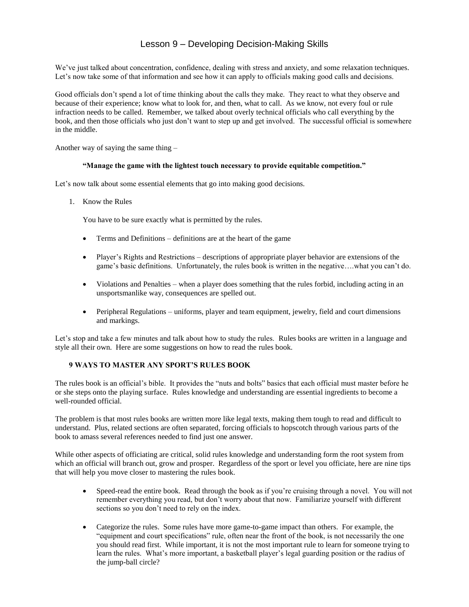# Lesson 9 – Developing Decision-Making Skills

We've just talked about concentration, confidence, dealing with stress and anxiety, and some relaxation techniques. Let's now take some of that information and see how it can apply to officials making good calls and decisions.

Good officials don't spend a lot of time thinking about the calls they make. They react to what they observe and because of their experience; know what to look for, and then, what to call. As we know, not every foul or rule infraction needs to be called. Remember, we talked about overly technical officials who call everything by the book, and then those officials who just don't want to step up and get involved. The successful official is somewhere in the middle.

Another way of saying the same thing –

#### **"Manage the game with the lightest touch necessary to provide equitable competition."**

Let's now talk about some essential elements that go into making good decisions.

1. Know the Rules

You have to be sure exactly what is permitted by the rules.

- Terms and Definitions definitions are at the heart of the game
- Player's Rights and Restrictions descriptions of appropriate player behavior are extensions of the game's basic definitions. Unfortunately, the rules book is written in the negative….what you can't do.
- Violations and Penalties when a player does something that the rules forbid, including acting in an unsportsmanlike way, consequences are spelled out.
- Peripheral Regulations uniforms, player and team equipment, jewelry, field and court dimensions and markings.

Let's stop and take a few minutes and talk about how to study the rules. Rules books are written in a language and style all their own. Here are some suggestions on how to read the rules book.

#### **9 WAYS TO MASTER ANY SPORT'S RULES BOOK**

The rules book is an official's bible. It provides the "nuts and bolts" basics that each official must master before he or she steps onto the playing surface. Rules knowledge and understanding are essential ingredients to become a well-rounded official.

The problem is that most rules books are written more like legal texts, making them tough to read and difficult to understand. Plus, related sections are often separated, forcing officials to hopscotch through various parts of the book to amass several references needed to find just one answer.

While other aspects of officiating are critical, solid rules knowledge and understanding form the root system from which an official will branch out, grow and prosper. Regardless of the sport or level you officiate, here are nine tips that will help you move closer to mastering the rules book.

- Speed-read the entire book. Read through the book as if you're cruising through a novel. You will not remember everything you read, but don't worry about that now. Familiarize yourself with different sections so you don't need to rely on the index.
- Categorize the rules. Some rules have more game-to-game impact than others. For example, the "equipment and court specifications" rule, often near the front of the book, is not necessarily the one you should read first. While important, it is not the most important rule to learn for someone trying to learn the rules. What's more important, a basketball player's legal guarding position or the radius of the jump-ball circle?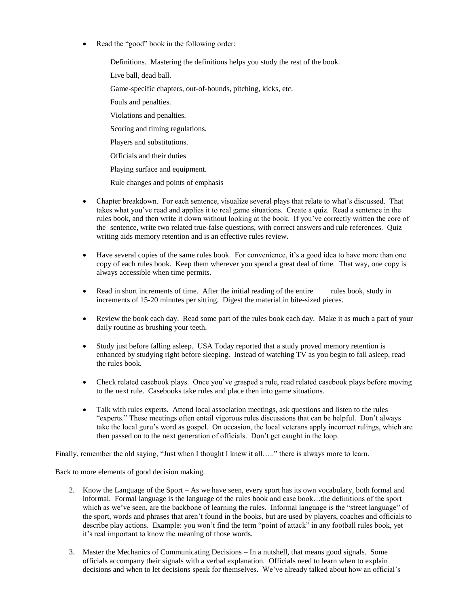Read the "good" book in the following order:

Definitions. Mastering the definitions helps you study the rest of the book. Live ball, dead ball. Game-specific chapters, out-of-bounds, pitching, kicks, etc. Fouls and penalties. Violations and penalties. Scoring and timing regulations. Players and substitutions. Officials and their duties Playing surface and equipment.

Rule changes and points of emphasis

- Chapter breakdown. For each sentence, visualize several plays that relate to what's discussed. That takes what you've read and applies it to real game situations. Create a quiz. Read a sentence in the rules book, and then write it down without looking at the book. If you've correctly written the core of the sentence, write two related true-false questions, with correct answers and rule references. Quiz writing aids memory retention and is an effective rules review.
- Have several copies of the same rules book. For convenience, it's a good idea to have more than one copy of each rules book. Keep them wherever you spend a great deal of time. That way, one copy is always accessible when time permits.
- Read in short increments of time. After the initial reading of the entire rules book, study in increments of 15-20 minutes per sitting. Digest the material in bite-sized pieces.
- Review the book each day. Read some part of the rules book each day. Make it as much a part of your daily routine as brushing your teeth.
- Study just before falling asleep. USA Today reported that a study proved memory retention is enhanced by studying right before sleeping. Instead of watching TV as you begin to fall asleep, read the rules book.
- Check related casebook plays. Once you've grasped a rule, read related casebook plays before moving to the next rule. Casebooks take rules and place then into game situations.
- Talk with rules experts. Attend local association meetings, ask questions and listen to the rules "experts." These meetings often entail vigorous rules discussions that can be helpful. Don't always take the local guru's word as gospel. On occasion, the local veterans apply incorrect rulings, which are then passed on to the next generation of officials. Don't get caught in the loop.

Finally, remember the old saying, "Just when I thought I knew it all....." there is always more to learn.

Back to more elements of good decision making.

- 2. Know the Language of the Sport As we have seen, every sport has its own vocabulary, both formal and informal. Formal language is the language of the rules book and case book…the definitions of the sport which as we've seen, are the backbone of learning the rules. Informal language is the "street language" of the sport, words and phrases that aren't found in the books, but are used by players, coaches and officials to describe play actions. Example: you won't find the term "point of attack" in any football rules book, yet it's real important to know the meaning of those words.
- 3. Master the Mechanics of Communicating Decisions In a nutshell, that means good signals. Some officials accompany their signals with a verbal explanation. Officials need to learn when to explain decisions and when to let decisions speak for themselves. We've already talked about how an official's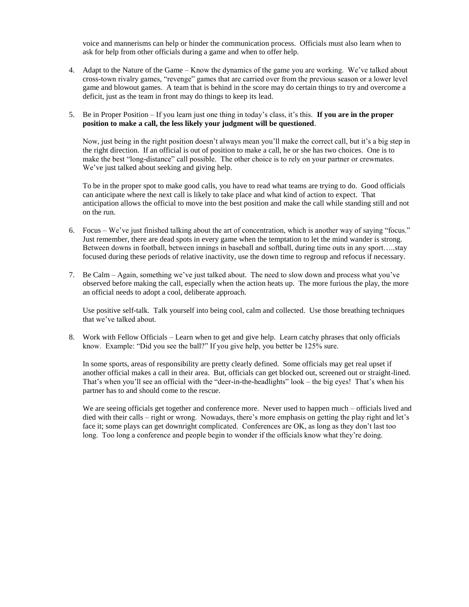voice and mannerisms can help or hinder the communication process. Officials must also learn when to ask for help from other officials during a game and when to offer help.

- 4. Adapt to the Nature of the Game Know the dynamics of the game you are working. We've talked about cross-town rivalry games, "revenge" games that are carried over from the previous season or a lower level game and blowout games. A team that is behind in the score may do certain things to try and overcome a deficit, just as the team in front may do things to keep its lead.
- 5. Be in Proper Position If you learn just one thing in today's class, it's this. **If you are in the proper position to make a call, the less likely your judgment will be questioned**.

Now, just being in the right position doesn't always mean you'll make the correct call, but it's a big step in the right direction. If an official is out of position to make a call, he or she has two choices. One is to make the best "long-distance" call possible. The other choice is to rely on your partner or crewmates. We've just talked about seeking and giving help.

To be in the proper spot to make good calls, you have to read what teams are trying to do. Good officials can anticipate where the next call is likely to take place and what kind of action to expect. That anticipation allows the official to move into the best position and make the call while standing still and not on the run.

- 6. Focus We've just finished talking about the art of concentration, which is another way of saying "focus." Just remember, there are dead spots in every game when the temptation to let the mind wander is strong. Between downs in football, between innings in baseball and softball, during time outs in any sport…..stay focused during these periods of relative inactivity, use the down time to regroup and refocus if necessary.
- 7. Be Calm Again, something we've just talked about. The need to slow down and process what you've observed before making the call, especially when the action heats up. The more furious the play, the more an official needs to adopt a cool, deliberate approach.

Use positive self-talk. Talk yourself into being cool, calm and collected. Use those breathing techniques that we've talked about.

8. Work with Fellow Officials – Learn when to get and give help. Learn catchy phrases that only officials know. Example: "Did you see the ball?" If you give help, you better be 125% sure.

In some sports, areas of responsibility are pretty clearly defined. Some officials may get real upset if another official makes a call in their area. But, officials can get blocked out, screened out or straight-lined. That's when you'll see an official with the "deer-in-the-headlights" look – the big eyes! That's when his partner has to and should come to the rescue.

We are seeing officials get together and conference more. Never used to happen much – officials lived and died with their calls – right or wrong. Nowadays, there's more emphasis on getting the play right and let's face it; some plays can get downright complicated. Conferences are OK, as long as they don't last too long. Too long a conference and people begin to wonder if the officials know what they're doing.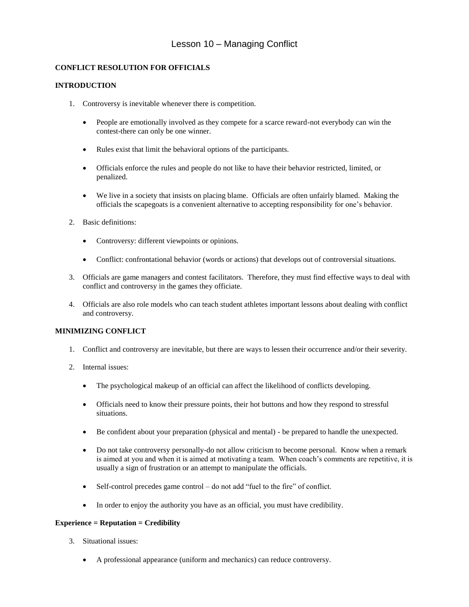# Lesson 10 – Managing Conflict

### **CONFLICT RESOLUTION FOR OFFICIALS**

#### **INTRODUCTION**

- 1. Controversy is inevitable whenever there is competition.
	- People are emotionally involved as they compete for a scarce reward-not everybody can win the contest-there can only be one winner.
	- Rules exist that limit the behavioral options of the participants.
	- Officials enforce the rules and people do not like to have their behavior restricted, limited, or penalized.
	- We live in a society that insists on placing blame. Officials are often unfairly blamed. Making the officials the scapegoats is a convenient alternative to accepting responsibility for one's behavior.
- 2. Basic definitions:
	- Controversy: different viewpoints or opinions.
	- Conflict: confrontational behavior (words or actions) that develops out of controversial situations.
- 3. Officials are game managers and contest facilitators. Therefore, they must find effective ways to deal with conflict and controversy in the games they officiate.
- 4. Officials are also role models who can teach student athletes important lessons about dealing with conflict and controversy.

#### **MINIMIZING CONFLICT**

- 1. Conflict and controversy are inevitable, but there are ways to lessen their occurrence and/or their severity.
- 2. Internal issues:
	- The psychological makeup of an official can affect the likelihood of conflicts developing.
	- Officials need to know their pressure points, their hot buttons and how they respond to stressful situations.
	- Be confident about your preparation (physical and mental) be prepared to handle the unexpected.
	- Do not take controversy personally-do not allow criticism to become personal. Know when a remark is aimed at you and when it is aimed at motivating a team. When coach's comments are repetitive, it is usually a sign of frustration or an attempt to manipulate the officials.
	- Self-control precedes game control do not add "fuel to the fire" of conflict.
	- In order to enjoy the authority you have as an official, you must have credibility.

#### **Experience = Reputation = Credibility**

- 3. Situational issues:
	- A professional appearance (uniform and mechanics) can reduce controversy.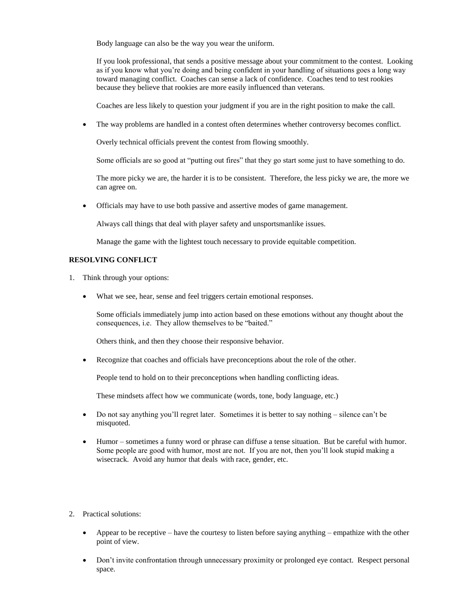Body language can also be the way you wear the uniform.

If you look professional, that sends a positive message about your commitment to the contest. Looking as if you know what you're doing and being confident in your handling of situations goes a long way toward managing conflict. Coaches can sense a lack of confidence. Coaches tend to test rookies because they believe that rookies are more easily influenced than veterans.

Coaches are less likely to question your judgment if you are in the right position to make the call.

• The way problems are handled in a contest often determines whether controversy becomes conflict.

Overly technical officials prevent the contest from flowing smoothly.

Some officials are so good at "putting out fires" that they go start some just to have something to do.

The more picky we are, the harder it is to be consistent. Therefore, the less picky we are, the more we can agree on.

• Officials may have to use both passive and assertive modes of game management.

Always call things that deal with player safety and unsportsmanlike issues.

Manage the game with the lightest touch necessary to provide equitable competition.

#### **RESOLVING CONFLICT**

- 1. Think through your options:
	- What we see, hear, sense and feel triggers certain emotional responses.

Some officials immediately jump into action based on these emotions without any thought about the consequences, i.e. They allow themselves to be "baited."

Others think, and then they choose their responsive behavior.

• Recognize that coaches and officials have preconceptions about the role of the other.

People tend to hold on to their preconceptions when handling conflicting ideas.

These mindsets affect how we communicate (words, tone, body language, etc.)

- Do not say anything you'll regret later. Sometimes it is better to say nothing silence can't be misquoted.
- Humor sometimes a funny word or phrase can diffuse a tense situation. But be careful with humor. Some people are good with humor, most are not. If you are not, then you'll look stupid making a wisecrack. Avoid any humor that deals with race, gender, etc.
- 2. Practical solutions:
	- Appear to be receptive have the courtesy to listen before saying anything empathize with the other point of view.
	- Don't invite confrontation through unnecessary proximity or prolonged eye contact. Respect personal space.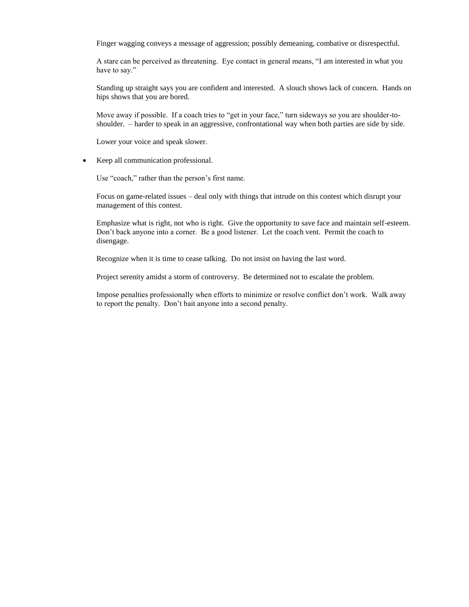Finger wagging conveys a message of aggression; possibly demeaning, combative or disrespectful.

A stare can be perceived as threatening. Eye contact in general means, "I am interested in what you have to say."

Standing up straight says you are confident and interested. A slouch shows lack of concern. Hands on hips shows that you are bored.

Move away if possible. If a coach tries to "get in your face," turn sideways so you are shoulder-toshoulder. – harder to speak in an aggressive, confrontational way when both parties are side by side.

Lower your voice and speak slower.

• Keep all communication professional.

Use "coach," rather than the person's first name.

Focus on game-related issues – deal only with things that intrude on this contest which disrupt your management of this contest.

Emphasize what is right, not who is right. Give the opportunity to save face and maintain self-esteem. Don't back anyone into a corner. Be a good listener. Let the coach vent. Permit the coach to disengage.

Recognize when it is time to cease talking. Do not insist on having the last word.

Project serenity amidst a storm of controversy. Be determined not to escalate the problem.

Impose penalties professionally when efforts to minimize or resolve conflict don't work. Walk away to report the penalty. Don't bait anyone into a second penalty.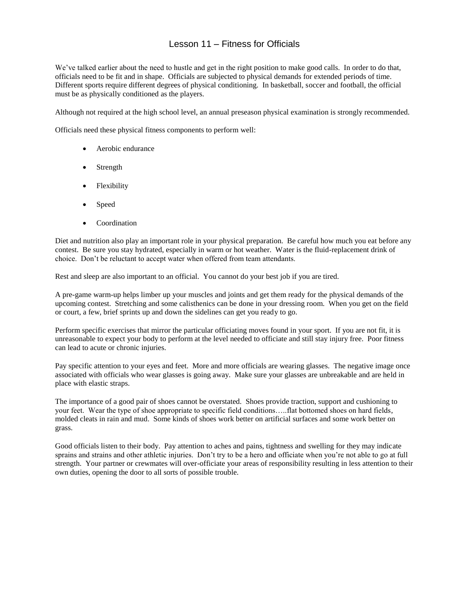# Lesson 11 – Fitness for Officials

We've talked earlier about the need to hustle and get in the right position to make good calls. In order to do that, officials need to be fit and in shape. Officials are subjected to physical demands for extended periods of time. Different sports require different degrees of physical conditioning. In basketball, soccer and football, the official must be as physically conditioned as the players.

Although not required at the high school level, an annual preseason physical examination is strongly recommended.

Officials need these physical fitness components to perform well:

- Aerobic endurance
- Strength
- **Flexibility**
- Speed
- **Coordination**

Diet and nutrition also play an important role in your physical preparation. Be careful how much you eat before any contest. Be sure you stay hydrated, especially in warm or hot weather. Water is the fluid-replacement drink of choice. Don't be reluctant to accept water when offered from team attendants.

Rest and sleep are also important to an official. You cannot do your best job if you are tired.

A pre-game warm-up helps limber up your muscles and joints and get them ready for the physical demands of the upcoming contest. Stretching and some calisthenics can be done in your dressing room. When you get on the field or court, a few, brief sprints up and down the sidelines can get you ready to go.

Perform specific exercises that mirror the particular officiating moves found in your sport. If you are not fit, it is unreasonable to expect your body to perform at the level needed to officiate and still stay injury free. Poor fitness can lead to acute or chronic injuries.

Pay specific attention to your eyes and feet. More and more officials are wearing glasses. The negative image once associated with officials who wear glasses is going away. Make sure your glasses are unbreakable and are held in place with elastic straps.

The importance of a good pair of shoes cannot be overstated. Shoes provide traction, support and cushioning to your feet. Wear the type of shoe appropriate to specific field conditions…..flat bottomed shoes on hard fields, molded cleats in rain and mud. Some kinds of shoes work better on artificial surfaces and some work better on grass.

Good officials listen to their body. Pay attention to aches and pains, tightness and swelling for they may indicate sprains and strains and other athletic injuries. Don't try to be a hero and officiate when you're not able to go at full strength. Your partner or crewmates will over-officiate your areas of responsibility resulting in less attention to their own duties, opening the door to all sorts of possible trouble.